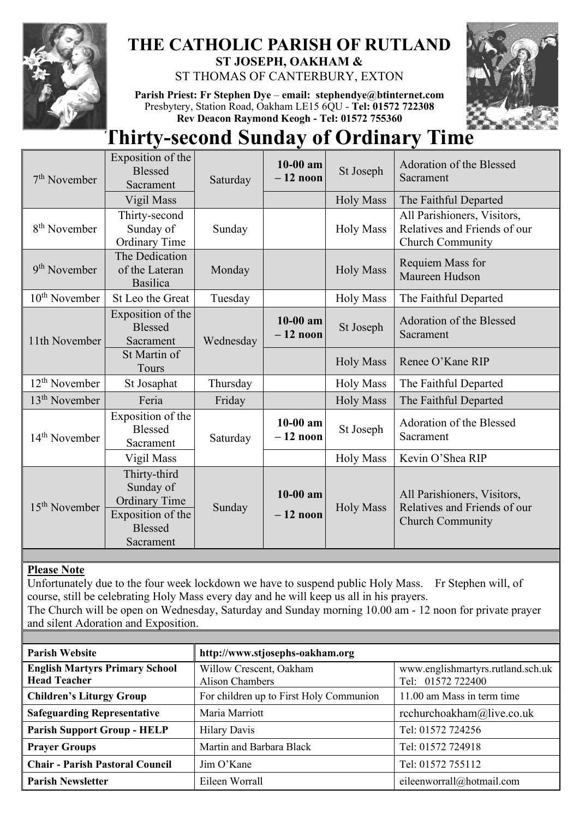

# **THE CATHOLIC PARISH OF RUTLAND ST JOSEPH, OAKHAM &**

ST THOMAS OF CANTERBURY, EXTON

**Parish Priest: Fr Stephen Dye** – **[email: stephendye@btinternet.com](mailto:email:%20%20stephendye@btinternet.com)** Presbytery, Station Road, Oakham LE15 6QU - **Tel: 01572 722308 Rev Deacon Raymond Keogh - Tel: 01572 755360**



# **Thirty-second Sunday of Ordinary Time**

| $7th$ November            | Exposition of the<br><b>Blessed</b><br>Sacrament                                                      | Saturday  | $10-00$ am<br>$-12$ noon | St Joseph        | Adoration of the Blessed<br>Sacrament                                                  |
|---------------------------|-------------------------------------------------------------------------------------------------------|-----------|--------------------------|------------------|----------------------------------------------------------------------------------------|
|                           | Vigil Mass                                                                                            |           |                          | <b>Holy Mass</b> | The Faithful Departed                                                                  |
| 8 <sup>th</sup> November  | Thirty-second<br>Sunday of<br><b>Ordinary Time</b>                                                    | Sunday    |                          | <b>Holy Mass</b> | All Parishioners, Visitors,<br>Relatives and Friends of our<br><b>Church Community</b> |
| 9 <sup>th</sup> November  | The Dedication<br>of the Lateran<br><b>Basilica</b>                                                   | Monday    |                          | <b>Holy Mass</b> | Requiem Mass for<br>Maureen Hudson                                                     |
| $10th$ November           | St Leo the Great                                                                                      | Tuesday   |                          | <b>Holy Mass</b> | The Faithful Departed                                                                  |
| 11th November             | Exposition of the<br><b>Blessed</b><br>Sacrament                                                      | Wednesday | $10-00$ am<br>$-12$ noon | St Joseph        | Adoration of the Blessed<br>Sacrament                                                  |
|                           | St Martin of<br>Tours                                                                                 |           |                          | <b>Holy Mass</b> | Renee O'Kane RIP                                                                       |
| $12th$ November           | St Josaphat                                                                                           | Thursday  |                          | <b>Holy Mass</b> | The Faithful Departed                                                                  |
| $13th$ November           | Feria                                                                                                 | Friday    |                          | <b>Holy Mass</b> | The Faithful Departed                                                                  |
| $14th$ November           | Exposition of the<br><b>Blessed</b><br>Sacrament                                                      | Saturday  | $10-00$ am<br>$-12$ noon | St Joseph        | Adoration of the Blessed<br>Sacrament                                                  |
|                           | Vigil Mass                                                                                            |           |                          | <b>Holy Mass</b> | Kevin O'Shea RIP                                                                       |
| 15 <sup>th</sup> November | Thirty-third<br>Sunday of<br><b>Ordinary Time</b><br>Exposition of the<br><b>Blessed</b><br>Sacrament | Sunday    | $10-00$ am<br>$-12$ noon | <b>Holy Mass</b> | All Parishioners, Visitors,<br>Relatives and Friends of our<br><b>Church Community</b> |

## **Please Note**

Unfortunately due to the four week lockdown we have to suspend public Holy Mass. Fr Stephen will, of course, still be celebrating Holy Mass every day and he will keep us all in his prayers. The Church will be open on Wednesday, Saturday and Sunday morning 10.00 am - 12 noon for private prayer and silent Adoration and Exposition.

| <b>Parish Website</b>                                        | http://www.stjosephs-oakham.org                   |                                                        |  |  |
|--------------------------------------------------------------|---------------------------------------------------|--------------------------------------------------------|--|--|
| <b>English Martyrs Primary School</b><br><b>Head Teacher</b> | Willow Crescent, Oakham<br><b>Alison Chambers</b> | www.englishmartyrs.rutland.sch.uk<br>Tel: 01572 722400 |  |  |
| <b>Children's Liturgy Group</b>                              | For children up to First Holy Communion           | 11.00 am Mass in term time                             |  |  |
| <b>Safeguarding Representative</b>                           | Maria Marriott                                    | rcchurchoakham@live.co.uk                              |  |  |
| <b>Parish Support Group - HELP</b>                           | <b>Hilary Davis</b>                               | Tel: 01572 724256                                      |  |  |
| <b>Prayer Groups</b>                                         | Martin and Barbara Black                          | Tel: 01572 724918                                      |  |  |
| <b>Chair - Parish Pastoral Council</b>                       | Jim O'Kane                                        | Tel: 01572 755112                                      |  |  |
| <b>Parish Newsletter</b>                                     | Eileen Worrall                                    | eileenworrall@hotmail.com                              |  |  |